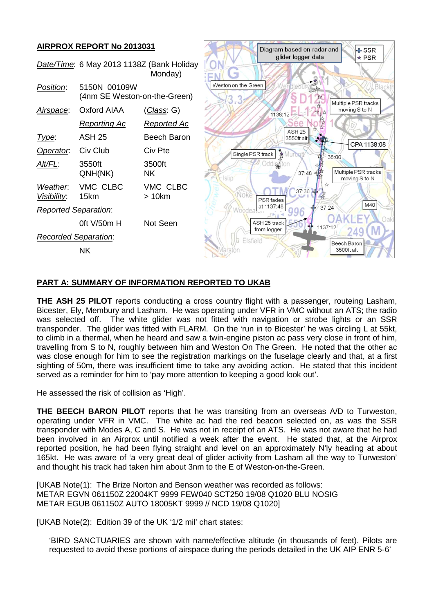## **AIRPROX REPORT No 2013031**



## **PART A: SUMMARY OF INFORMATION REPORTED TO UKAB**

**THE ASH 25 PILOT** reports conducting a cross country flight with a passenger, routeing Lasham, Bicester, Ely, Membury and Lasham. He was operating under VFR in VMC without an ATS; the radio was selected off. The white glider was not fitted with navigation or strobe lights or an SSR transponder. The glider was fitted with FLARM. On the 'run in to Bicester' he was circling L at 55kt, to climb in a thermal, when he heard and saw a twin-engine piston ac pass very close in front of him, travelling from S to N, roughly between him and Weston On The Green. He noted that the other ac was close enough for him to see the registration markings on the fuselage clearly and that, at a first sighting of 50m, there was insufficient time to take any avoiding action. He stated that this incident served as a reminder for him to 'pay more attention to keeping a good look out'.

He assessed the risk of collision as 'High'.

**THE BEECH BARON PILOT** reports that he was transiting from an overseas A/D to Turweston, operating under VFR in VMC. The white ac had the red beacon selected on, as was the SSR transponder with Modes A, C and S. He was not in receipt of an ATS. He was not aware that he had been involved in an Airprox until notified a week after the event. He stated that, at the Airprox reported position, he had been flying straight and level on an approximately N'ly heading at about 165kt. He was aware of 'a very great deal of glider activity from Lasham all the way to Turweston' and thought his track had taken him about 3nm to the E of Weston-on-the-Green.

[UKAB Note(1): The Brize Norton and Benson weather was recorded as follows: METAR EGVN 061150Z 22004KT 9999 FEW040 SCT250 19/08 Q1020 BLU NOSIG METAR EGUB 061150Z AUTO 18005KT 9999 // NCD 19/08 Q1020]

[UKAB Note(2): Edition 39 of the UK '1/2 mil' chart states:

'BIRD SANCTUARIES are shown with name/effective altitude (in thousands of feet). Pilots are requested to avoid these portions of airspace during the periods detailed in the UK AIP ENR 5-6'